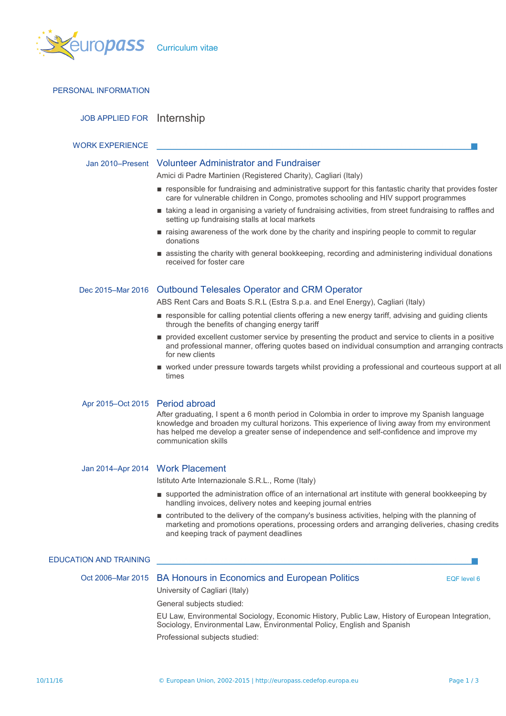

| PERSONAL INFORMATION            |                                                                                                                                                                                                                                                                                                                      |  |  |  |  |
|---------------------------------|----------------------------------------------------------------------------------------------------------------------------------------------------------------------------------------------------------------------------------------------------------------------------------------------------------------------|--|--|--|--|
| JOB APPLIED FOR Internship      |                                                                                                                                                                                                                                                                                                                      |  |  |  |  |
| <b>WORK EXPERIENCE</b>          |                                                                                                                                                                                                                                                                                                                      |  |  |  |  |
|                                 | Jan 2010–Present Volunteer Administrator and Fundraiser                                                                                                                                                                                                                                                              |  |  |  |  |
|                                 | Amici di Padre Martinien (Registered Charity), Cagliari (Italy)<br>responsible for fundraising and administrative support for this fantastic charity that provides foster                                                                                                                                            |  |  |  |  |
|                                 | care for vulnerable children in Congo, promotes schooling and HIV support programmes                                                                                                                                                                                                                                 |  |  |  |  |
|                                 | taking a lead in organising a variety of fundraising activities, from street fundraising to raffles and<br>setting up fundraising stalls at local markets                                                                                                                                                            |  |  |  |  |
|                                 | raising awareness of the work done by the charity and inspiring people to commit to regular<br>donations                                                                                                                                                                                                             |  |  |  |  |
|                                 | assisting the charity with general bookkeeping, recording and administering individual donations<br>received for foster care                                                                                                                                                                                         |  |  |  |  |
|                                 | Dec 2015–Mar 2016 Outbound Telesales Operator and CRM Operator                                                                                                                                                                                                                                                       |  |  |  |  |
|                                 | ABS Rent Cars and Boats S.R.L (Estra S.p.a. and Enel Energy), Cagliari (Italy)                                                                                                                                                                                                                                       |  |  |  |  |
|                                 | responsible for calling potential clients offering a new energy tariff, advising and guiding clients<br>through the benefits of changing energy tariff                                                                                                                                                               |  |  |  |  |
|                                 | provided excellent customer service by presenting the product and service to clients in a positive<br>and professional manner, offering quotes based on individual consumption and arranging contracts<br>for new clients                                                                                            |  |  |  |  |
|                                 | ■ worked under pressure towards targets whilst providing a professional and courteous support at all<br>times                                                                                                                                                                                                        |  |  |  |  |
| Apr 2015-Oct 2015 Period abroad |                                                                                                                                                                                                                                                                                                                      |  |  |  |  |
|                                 | After graduating, I spent a 6 month period in Colombia in order to improve my Spanish language<br>knowledge and broaden my cultural horizons. This experience of living away from my environment<br>has helped me develop a greater sense of independence and self-confidence and improve my<br>communication skills |  |  |  |  |
|                                 | Jan 2014-Apr 2014 Work Placement                                                                                                                                                                                                                                                                                     |  |  |  |  |
|                                 | Istituto Arte Internazionale S.R.L., Rome (Italy)                                                                                                                                                                                                                                                                    |  |  |  |  |
|                                 | supported the administration office of an international art institute with general bookkeeping by<br>handling invoices, delivery notes and keeping journal entries                                                                                                                                                   |  |  |  |  |
|                                 | contributed to the delivery of the company's business activities, helping with the planning of<br>marketing and promotions operations, processing orders and arranging deliveries, chasing credits<br>and keeping track of payment deadlines                                                                         |  |  |  |  |
| <b>EDUCATION AND TRAINING</b>   |                                                                                                                                                                                                                                                                                                                      |  |  |  |  |
|                                 | Oct 2006–Mar 2015 BA Honours in Economics and European Politics<br>EQF level 6<br>University of Cagliari (Italy)                                                                                                                                                                                                     |  |  |  |  |
|                                 | General subjects studied:                                                                                                                                                                                                                                                                                            |  |  |  |  |
|                                 | EU Law, Environmental Sociology, Economic History, Public Law, History of European Integration,<br>Sociology, Environmental Law, Environmental Policy, English and Spanish<br>Professional subjects studied:                                                                                                         |  |  |  |  |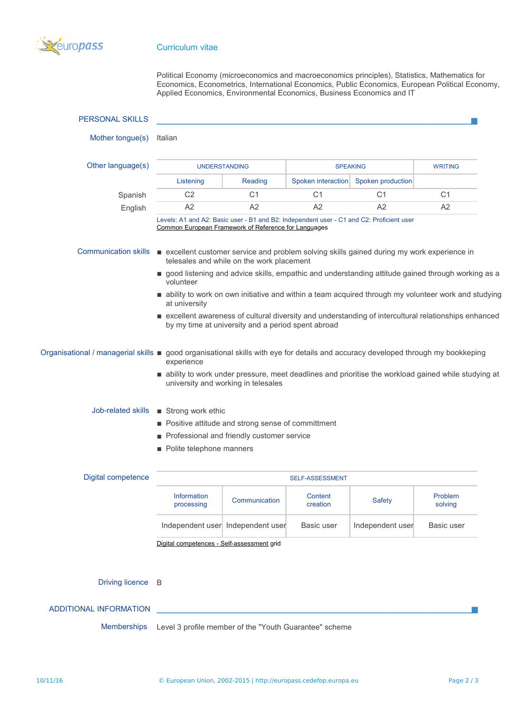

## Curriculum vitae

Political Economy (microeconomics and macroeconomics principles), Statistics, Mathematics for Economics, Econometrics, International Economics, Public Economics, European Political Economy, Applied Economics, Environmental Economics, Business Economics and IT

| <b>PERSONAL SKILLS</b>      |                                                                                                                                                           |                                   |                     |                   |                    |  |
|-----------------------------|-----------------------------------------------------------------------------------------------------------------------------------------------------------|-----------------------------------|---------------------|-------------------|--------------------|--|
| Mother tongue(s)            | Italian                                                                                                                                                   |                                   |                     |                   |                    |  |
| Other language(s)           | <b>UNDERSTANDING</b>                                                                                                                                      |                                   | <b>SPEAKING</b>     |                   | <b>WRITING</b>     |  |
|                             | Listening                                                                                                                                                 | Reading                           | Spoken interaction  | Spoken production |                    |  |
| Spanish                     | C <sub>2</sub>                                                                                                                                            | C <sub>1</sub>                    | C <sub>1</sub>      | C <sub>1</sub>    | C <sub>1</sub>     |  |
| English                     | A2                                                                                                                                                        | A2                                | A2                  | A2                | A <sub>2</sub>     |  |
|                             | Levels: A1 and A2: Basic user - B1 and B2: Independent user - C1 and C2: Proficient user<br>Common European Framework of Reference for Languages          |                                   |                     |                   |                    |  |
| <b>Communication skills</b> | ■ excellent customer service and problem solving skills gained during my work experience in<br>telesales and while on the work placement                  |                                   |                     |                   |                    |  |
|                             | good listening and advice skills, empathic and understanding attitude gained through working as a<br>volunteer                                            |                                   |                     |                   |                    |  |
|                             | ability to work on own initiative and within a team acquired through my volunteer work and studying<br>at university                                      |                                   |                     |                   |                    |  |
|                             | excellent awareness of cultural diversity and understanding of intercultural relationships enhanced<br>by my time at university and a period spent abroad |                                   |                     |                   |                    |  |
|                             | Organisational / managerial skills ■ good organisational skills with eye for details and accuracy developed through my bookkeping<br>experience           |                                   |                     |                   |                    |  |
|                             | ability to work under pressure, meet deadlines and prioritise the workload gained while studying at<br>university and working in telesales                |                                   |                     |                   |                    |  |
| Job-related skills          | Strong work ethic                                                                                                                                         |                                   |                     |                   |                    |  |
|                             | ■ Positive attitude and strong sense of committment                                                                                                       |                                   |                     |                   |                    |  |
|                             | Professional and friendly customer service                                                                                                                |                                   |                     |                   |                    |  |
|                             | Polite telephone manners                                                                                                                                  |                                   |                     |                   |                    |  |
| Digital competence          | SELF-ASSESSMENT                                                                                                                                           |                                   |                     |                   |                    |  |
|                             | Information<br>processing                                                                                                                                 | Communication                     | Content<br>creation | <b>Safety</b>     | Problem<br>solving |  |
|                             |                                                                                                                                                           | Independent user Independent user | Basic user          | Independent user  | Basic user         |  |
|                             | Digital competences - Self-assessment grid                                                                                                                |                                   |                     |                   |                    |  |

Driving licence B

## ADDITIONAL INFORMATION

Memberships Level 3 profile member of the "Youth Guarantee" scheme

 $\sim$